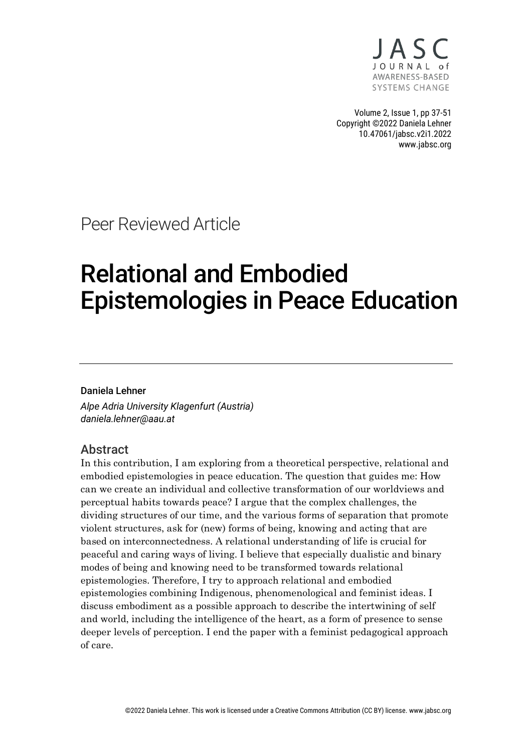

Volume 2, Issue 1, pp 37-51 Copyright ©2022 Daniela Lehner 10.47061/jabsc.v2i1.2022 www.jabsc.org

Peer Reviewed Article

# Relational and Embodied Epistemologies in Peace Education

#### Daniela Lehner

*Alpe Adria University Klagenfurt (Austria) daniela.lehner@aau.at*

#### Abstract

In this contribution, I am exploring from a theoretical perspective, relational and embodied epistemologies in peace education. The question that guides me: How can we create an individual and collective transformation of our worldviews and perceptual habits towards peace? I argue that the complex challenges, the dividing structures of our time, and the various forms of separation that promote violent structures, ask for (new) forms of being, knowing and acting that are based on interconnectedness. A relational understanding of life is crucial for peaceful and caring ways of living. I believe that especially dualistic and binary modes of being and knowing need to be transformed towards relational epistemologies. Therefore, I try to approach relational and embodied epistemologies combining Indigenous, phenomenological and feminist ideas. I discuss embodiment as a possible approach to describe the intertwining of self and world, including the intelligence of the heart, as a form of presence to sense deeper levels of perception. I end the paper with a feminist pedagogical approach of care.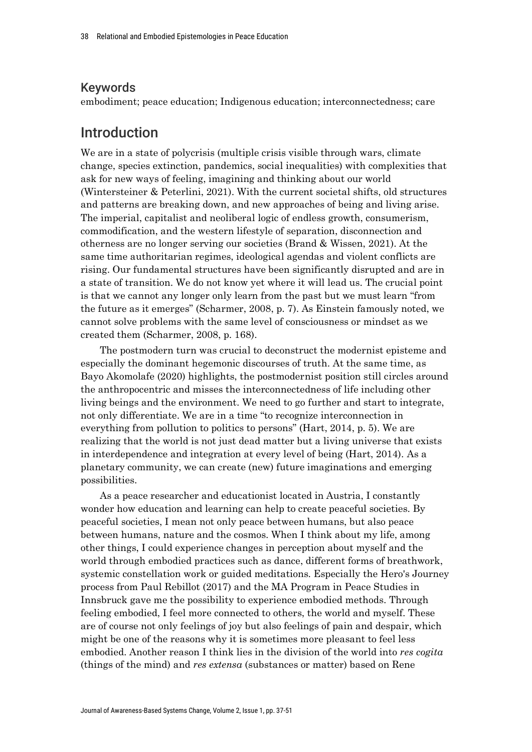#### Keywords

embodiment; peace education; Indigenous education; interconnectedness; care

## Introduction

We are in a state of polycrisis (multiple crisis visible through wars, climate change, species extinction, pandemics, social inequalities) with complexities that ask for new ways of feeling, imagining and thinking about our world (Wintersteiner & Peterlini, 2021). With the current societal shifts, old structures and patterns are breaking down, and new approaches of being and living arise. The imperial, capitalist and neoliberal logic of endless growth, consumerism, commodification, and the western lifestyle of separation, disconnection and otherness are no longer serving our societies (Brand & Wissen, 2021). At the same time authoritarian regimes, ideological agendas and violent conflicts are rising. Our fundamental structures have been significantly disrupted and are in a state of transition. We do not know yet where it will lead us. The crucial point is that we cannot any longer only learn from the past but we must learn "from the future as it emerges" (Scharmer, 2008, p. 7). As Einstein famously noted, we cannot solve problems with the same level of consciousness or mindset as we created them (Scharmer, 2008, p. 168).

The postmodern turn was crucial to deconstruct the modernist episteme and especially the dominant hegemonic discourses of truth. At the same time, as Bayo Akomolafe (2020) highlights, the postmodernist position still circles around the anthropocentric and misses the interconnectedness of life including other living beings and the environment. We need to go further and start to integrate, not only differentiate. We are in a time "to recognize interconnection in everything from pollution to politics to persons" (Hart, 2014, p. 5). We are realizing that the world is not just dead matter but a living universe that exists in interdependence and integration at every level of being (Hart, 2014). As a planetary community, we can create (new) future imaginations and emerging possibilities.

As a peace researcher and educationist located in Austria, I constantly wonder how education and learning can help to create peaceful societies. By peaceful societies, I mean not only peace between humans, but also peace between humans, nature and the cosmos. When I think about my life, among other things, I could experience changes in perception about myself and the world through embodied practices such as dance, different forms of breathwork, systemic constellation work or guided meditations. Especially the Hero's Journey process from Paul Rebillot (2017) and the MA Program in Peace Studies in Innsbruck gave me the possibility to experience embodied methods. Through feeling embodied, I feel more connected to others, the world and myself. These are of course not only feelings of joy but also feelings of pain and despair, which might be one of the reasons why it is sometimes more pleasant to feel less embodied. Another reason I think lies in the division of the world into *res cogita*  (things of the mind) and *res extensa* (substances or matter) based on Rene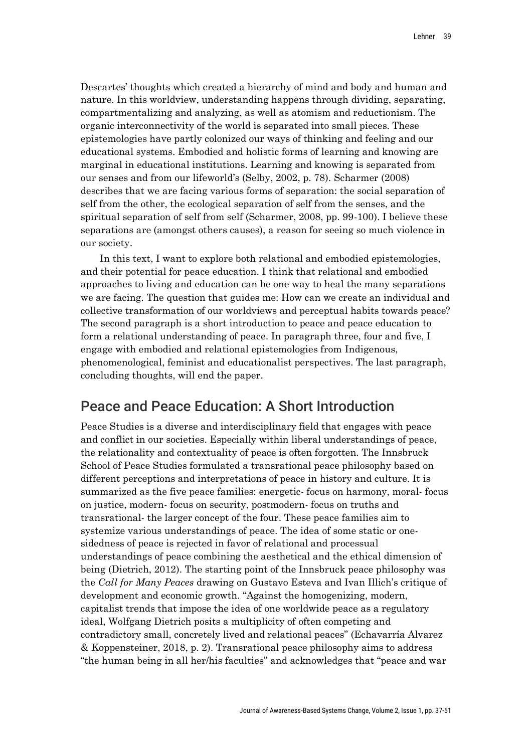Descartes' thoughts which created a hierarchy of mind and body and human and nature. In this worldview, understanding happens through dividing, separating, compartmentalizing and analyzing, as well as atomism and reductionism. The organic interconnectivity of the world is separated into small pieces. These epistemologies have partly colonized our ways of thinking and feeling and our educational systems. Embodied and holistic forms of learning and knowing are marginal in educational institutions. Learning and knowing is separated from our senses and from our lifeworld's (Selby, 2002, p. 78). Scharmer (2008) describes that we are facing various forms of separation: the social separation of self from the other, the ecological separation of self from the senses, and the spiritual separation of self from self (Scharmer, 2008, pp. 99-100). I believe these separations are (amongst others causes), a reason for seeing so much violence in our society.

In this text, I want to explore both relational and embodied epistemologies, and their potential for peace education. I think that relational and embodied approaches to living and education can be one way to heal the many separations we are facing. The question that guides me: How can we create an individual and collective transformation of our worldviews and perceptual habits towards peace? The second paragraph is a short introduction to peace and peace education to form a relational understanding of peace. In paragraph three, four and five, I engage with embodied and relational epistemologies from Indigenous, phenomenological, feminist and educationalist perspectives. The last paragraph, concluding thoughts, will end the paper.

## Peace and Peace Education: A Short Introduction

Peace Studies is a diverse and interdisciplinary field that engages with peace and conflict in our societies. Especially within liberal understandings of peace, the relationality and contextuality of peace is often forgotten. The Innsbruck School of Peace Studies formulated a transrational peace philosophy based on different perceptions and interpretations of peace in history and culture. It is summarized as the five peace families: energetic- focus on harmony, moral- focus on justice, modern- focus on security, postmodern- focus on truths and transrational- the larger concept of the four. These peace families aim to systemize various understandings of peace. The idea of some static or onesidedness of peace is rejected in favor of relational and processual understandings of peace combining the aesthetical and the ethical dimension of being (Dietrich, 2012). The starting point of the Innsbruck peace philosophy was the *Call for Many Peaces* drawing on Gustavo Esteva and Ivan Illich's critique of development and economic growth. "Against the homogenizing, modern, capitalist trends that impose the idea of one worldwide peace as a regulatory ideal, Wolfgang Dietrich posits a multiplicity of often competing and contradictory small, concretely lived and relational peaces" (Echavarría Alvarez & Koppensteiner, 2018, p. 2). Transrational peace philosophy aims to address "the human being in all her/his faculties" and acknowledges that "peace and war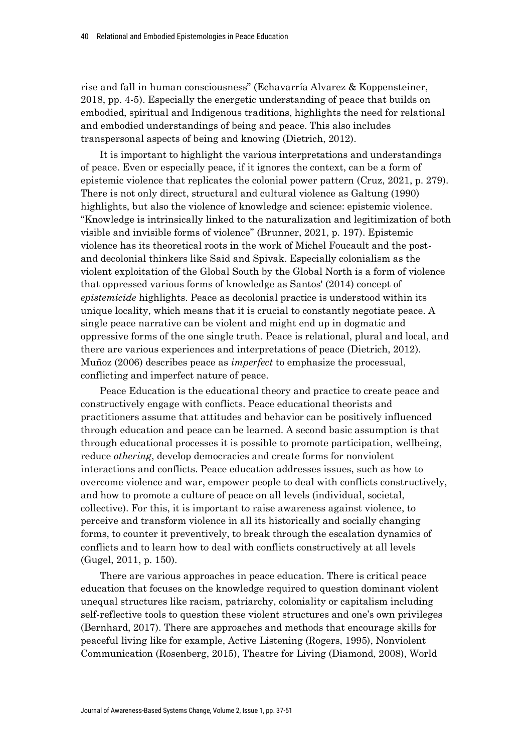rise and fall in human consciousness" (Echavarría Alvarez & Koppensteiner, 2018, pp. 4-5). Especially the energetic understanding of peace that builds on embodied, spiritual and Indigenous traditions, highlights the need for relational and embodied understandings of being and peace. This also includes transpersonal aspects of being and knowing (Dietrich, 2012).

It is important to highlight the various interpretations and understandings of peace. Even or especially peace, if it ignores the context, can be a form of epistemic violence that replicates the colonial power pattern (Cruz, 2021, p. 279). There is not only direct, structural and cultural violence as Galtung (1990) highlights, but also the violence of knowledge and science: epistemic violence. "Knowledge is intrinsically linked to the naturalization and legitimization of both visible and invisible forms of violence" (Brunner, 2021, p. 197). Epistemic violence has its theoretical roots in the work of Michel Foucault and the postand decolonial thinkers like Said and Spivak. Especially colonialism as the violent exploitation of the Global South by the Global North is a form of violence that oppressed various forms of knowledge as Santos' (2014) concept of *epistemicide* highlights. Peace as decolonial practice is understood within its unique locality, which means that it is crucial to constantly negotiate peace. A single peace narrative can be violent and might end up in dogmatic and oppressive forms of the one single truth. Peace is relational, plural and local, and there are various experiences and interpretations of peace (Dietrich, 2012). Muñoz (2006) describes peace as *imperfect* to emphasize the processual, conflicting and imperfect nature of peace.

Peace Education is the educational theory and practice to create peace and constructively engage with conflicts. Peace educational theorists and practitioners assume that attitudes and behavior can be positively influenced through education and peace can be learned. A second basic assumption is that through educational processes it is possible to promote participation, wellbeing, reduce *othering*, develop democracies and create forms for nonviolent interactions and conflicts. Peace education addresses issues, such as how to overcome violence and war, empower people to deal with conflicts constructively, and how to promote a culture of peace on all levels (individual, societal, collective). For this, it is important to raise awareness against violence, to perceive and transform violence in all its historically and socially changing forms, to counter it preventively, to break through the escalation dynamics of conflicts and to learn how to deal with conflicts constructively at all levels (Gugel, 2011, p. 150).

There are various approaches in peace education. There is critical peace education that focuses on the knowledge required to question dominant violent unequal structures like racism, patriarchy, coloniality or capitalism including self-reflective tools to question these violent structures and one's own privileges (Bernhard, 2017). There are approaches and methods that encourage skills for peaceful living like for example, Active Listening (Rogers, 1995), Nonviolent Communication (Rosenberg, 2015), Theatre for Living (Diamond, 2008), World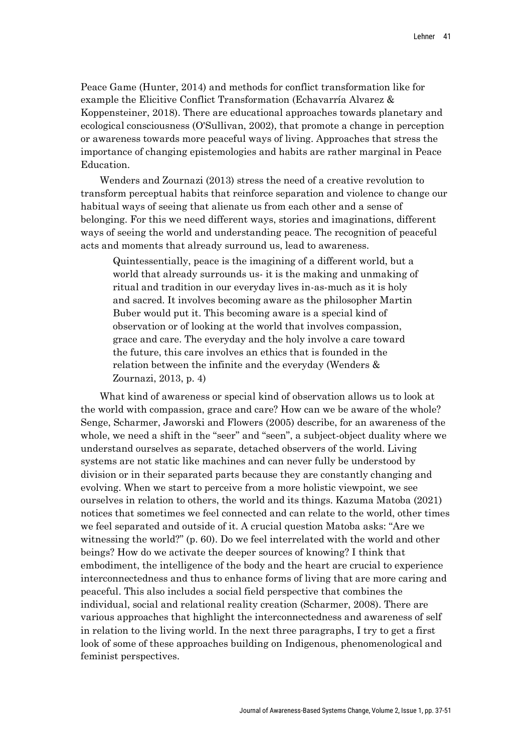Peace Game (Hunter, 2014) and methods for conflict transformation like for example the Elicitive Conflict Transformation (Echavarría Alvarez & Koppensteiner, 2018). There are educational approaches towards planetary and ecological consciousness (O'Sullivan, 2002), that promote a change in perception or awareness towards more peaceful ways of living. Approaches that stress the importance of changing epistemologies and habits are rather marginal in Peace Education.

Wenders and Zournazi (2013) stress the need of a creative revolution to transform perceptual habits that reinforce separation and violence to change our habitual ways of seeing that alienate us from each other and a sense of belonging. For this we need different ways, stories and imaginations, different ways of seeing the world and understanding peace. The recognition of peaceful acts and moments that already surround us, lead to awareness.

Quintessentially, peace is the imagining of a different world, but a world that already surrounds us- it is the making and unmaking of ritual and tradition in our everyday lives in-as-much as it is holy and sacred. It involves becoming aware as the philosopher Martin Buber would put it. This becoming aware is a special kind of observation or of looking at the world that involves compassion, grace and care. The everyday and the holy involve a care toward the future, this care involves an ethics that is founded in the relation between the infinite and the everyday (Wenders & Zournazi, 2013, p. 4)

What kind of awareness or special kind of observation allows us to look at the world with compassion, grace and care? How can we be aware of the whole? Senge, Scharmer, Jaworski and Flowers (2005) describe, for an awareness of the whole, we need a shift in the "seer" and "seen", a subject-object duality where we understand ourselves as separate, detached observers of the world. Living systems are not static like machines and can never fully be understood by division or in their separated parts because they are constantly changing and evolving. When we start to perceive from a more holistic viewpoint, we see ourselves in relation to others, the world and its things. Kazuma Matoba (2021) notices that sometimes we feel connected and can relate to the world, other times we feel separated and outside of it. A crucial question Matoba asks: "Are we witnessing the world?" (p. 60). Do we feel interrelated with the world and other beings? How do we activate the deeper sources of knowing? I think that embodiment, the intelligence of the body and the heart are crucial to experience interconnectedness and thus to enhance forms of living that are more caring and peaceful. This also includes a social field perspective that combines the individual, social and relational reality creation (Scharmer, 2008). There are various approaches that highlight the interconnectedness and awareness of self in relation to the living world. In the next three paragraphs, I try to get a first look of some of these approaches building on Indigenous, phenomenological and feminist perspectives.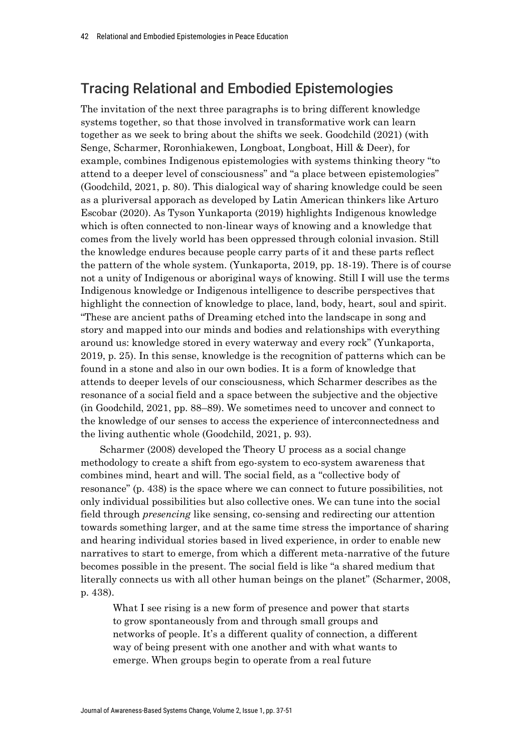# Tracing Relational and Embodied Epistemologies

The invitation of the next three paragraphs is to bring different knowledge systems together, so that those involved in transformative work can learn together as we seek to bring about the shifts we seek. Goodchild (2021) (with Senge, Scharmer, Roronhiakewen, Longboat, Longboat, Hill & Deer), for example, combines Indigenous epistemologies with systems thinking theory "to attend to a deeper level of consciousness" and "a place between epistemologies" (Goodchild, 2021, p. 80). This dialogical way of sharing knowledge could be seen as a pluriversal apporach as developed by Latin American thinkers like Arturo Escobar (2020). As Tyson Yunkaporta (2019) highlights Indigenous knowledge which is often connected to non-linear ways of knowing and a knowledge that comes from the lively world has been oppressed through colonial invasion. Still the knowledge endures because people carry parts of it and these parts reflect the pattern of the whole system. (Yunkaporta, 2019, pp. 18-19). There is of course not a unity of Indigenous or aboriginal ways of knowing. Still I will use the terms Indigenous knowledge or Indigenous intelligence to describe perspectives that highlight the connection of knowledge to place, land, body, heart, soul and spirit. "These are ancient paths of Dreaming etched into the landscape in song and story and mapped into our minds and bodies and relationships with everything around us: knowledge stored in every waterway and every rock" (Yunkaporta, 2019, p. 25). In this sense, knowledge is the recognition of patterns which can be found in a stone and also in our own bodies. It is a form of knowledge that attends to deeper levels of our consciousness, which Scharmer describes as the resonance of a social field and a space between the subjective and the objective (in Goodchild, 2021, pp. 88–89). We sometimes need to uncover and connect to the knowledge of our senses to access the experience of interconnectedness and the living authentic whole (Goodchild, 2021, p. 93).

Scharmer (2008) developed the Theory U process as a social change methodology to create a shift from ego-system to eco-system awareness that combines mind, heart and will. The social field, as a "collective body of resonance" (p. 438) is the space where we can connect to future possibilities, not only individual possibilities but also collective ones. We can tune into the social field through *presencing* like sensing, co-sensing and redirecting our attention towards something larger, and at the same time stress the importance of sharing and hearing individual stories based in lived experience, in order to enable new narratives to start to emerge, from which a different meta-narrative of the future becomes possible in the present. The social field is like "a shared medium that literally connects us with all other human beings on the planet" (Scharmer, 2008, p. 438).

What I see rising is a new form of presence and power that starts to grow spontaneously from and through small groups and networks of people. It's a different quality of connection, a different way of being present with one another and with what wants to emerge. When groups begin to operate from a real future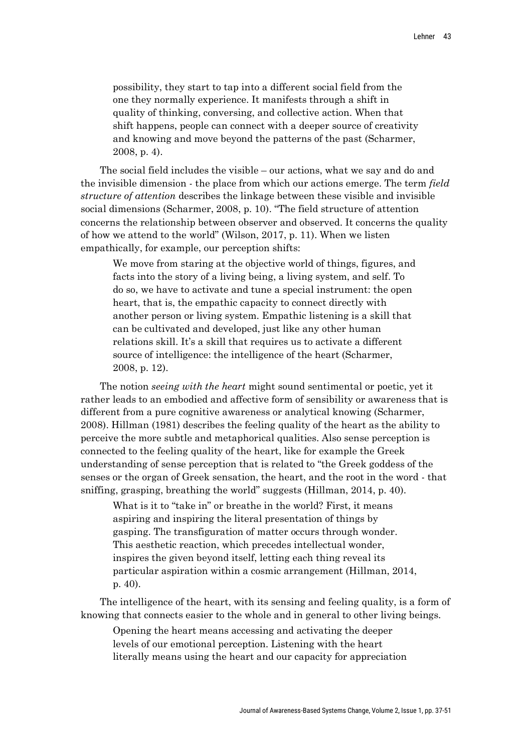possibility, they start to tap into a different social field from the one they normally experience. It manifests through a shift in quality of thinking, conversing, and collective action. When that shift happens, people can connect with a deeper source of creativity and knowing and move beyond the patterns of the past (Scharmer, 2008, p. 4).

The social field includes the visible – our actions, what we say and do and the invisible dimension - the place from which our actions emerge. The term *field structure of attention* describes the linkage between these visible and invisible social dimensions (Scharmer, 2008, p. 10). "The field structure of attention concerns the relationship between observer and observed. It concerns the quality of how we attend to the world" (Wilson, 2017, p. 11). When we listen empathically, for example, our perception shifts:

We move from staring at the objective world of things, figures, and facts into the story of a living being, a living system, and self. To do so, we have to activate and tune a special instrument: the open heart, that is, the empathic capacity to connect directly with another person or living system. Empathic listening is a skill that can be cultivated and developed, just like any other human relations skill. It's a skill that requires us to activate a different source of intelligence: the intelligence of the heart (Scharmer, 2008, p. 12).

The notion *seeing with the heart* might sound sentimental or poetic, yet it rather leads to an embodied and affective form of sensibility or awareness that is different from a pure cognitive awareness or analytical knowing (Scharmer, 2008). Hillman (1981) describes the feeling quality of the heart as the ability to perceive the more subtle and metaphorical qualities. Also sense perception is connected to the feeling quality of the heart, like for example the Greek understanding of sense perception that is related to "the Greek goddess of the senses or the organ of Greek sensation, the heart, and the root in the word - that sniffing, grasping, breathing the world" suggests (Hillman, 2014, p. 40).

What is it to "take in" or breathe in the world? First, it means aspiring and inspiring the literal presentation of things by gasping. The transfiguration of matter occurs through wonder. This aesthetic reaction, which precedes intellectual wonder, inspires the given beyond itself, letting each thing reveal its particular aspiration within a cosmic arrangement (Hillman, 2014, p. 40).

The intelligence of the heart, with its sensing and feeling quality, is a form of knowing that connects easier to the whole and in general to other living beings.

Opening the heart means accessing and activating the deeper levels of our emotional perception. Listening with the heart literally means using the heart and our capacity for appreciation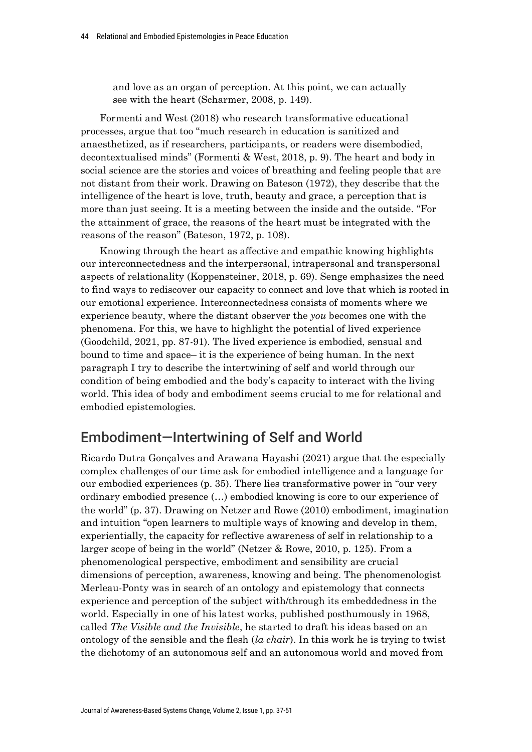and love as an organ of perception. At this point, we can actually see with the heart (Scharmer, 2008, p. 149).

Formenti and West (2018) who research transformative educational processes, argue that too "much research in education is sanitized and anaesthetized, as if researchers, participants, or readers were disembodied, decontextualised minds" (Formenti & West, 2018, p. 9). The heart and body in social science are the stories and voices of breathing and feeling people that are not distant from their work. Drawing on Bateson (1972), they describe that the intelligence of the heart is love, truth, beauty and grace, a perception that is more than just seeing. It is a meeting between the inside and the outside. "For the attainment of grace, the reasons of the heart must be integrated with the reasons of the reason" (Bateson, 1972, p. 108).

Knowing through the heart as affective and empathic knowing highlights our interconnectedness and the interpersonal, intrapersonal and transpersonal aspects of relationality (Koppensteiner, 2018, p. 69). Senge emphasizes the need to find ways to rediscover our capacity to connect and love that which is rooted in our emotional experience. Interconnectedness consists of moments where we experience beauty, where the distant observer the *you* becomes one with the phenomena. For this, we have to highlight the potential of lived experience (Goodchild, 2021, pp. 87-91). The lived experience is embodied, sensual and bound to time and space– it is the experience of being human. In the next paragraph I try to describe the intertwining of self and world through our condition of being embodied and the body's capacity to interact with the living world. This idea of body and embodiment seems crucial to me for relational and embodied epistemologies.

# Embodiment—Intertwining of Self and World

Ricardo Dutra Gonçalves and Arawana Hayashi (2021) argue that the especially complex challenges of our time ask for embodied intelligence and a language for our embodied experiences (p. 35). There lies transformative power in "our very ordinary embodied presence (…) embodied knowing is core to our experience of the world" (p. 37). Drawing on Netzer and Rowe (2010) embodiment, imagination and intuition "open learners to multiple ways of knowing and develop in them, experientially, the capacity for reflective awareness of self in relationship to a larger scope of being in the world" (Netzer & Rowe, 2010, p. 125). From a phenomenological perspective, embodiment and sensibility are crucial dimensions of perception, awareness, knowing and being. The phenomenologist Merleau-Ponty was in search of an ontology and epistemology that connects experience and perception of the subject with/through its embeddedness in the world. Especially in one of his latest works, published posthumously in 1968, called *The Visible and the Invisible*, he started to draft his ideas based on an ontology of the sensible and the flesh (*la chair*). In this work he is trying to twist the dichotomy of an autonomous self and an autonomous world and moved from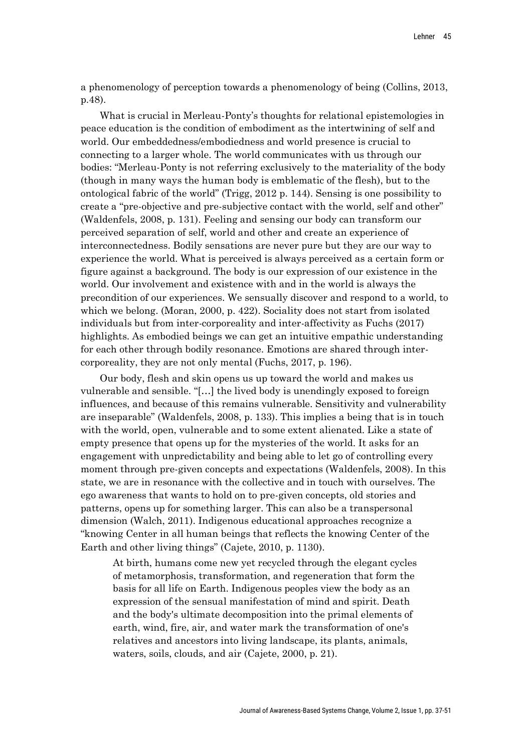a phenomenology of perception towards a phenomenology of being (Collins, 2013, p.48).

What is crucial in Merleau-Ponty's thoughts for relational epistemologies in peace education is the condition of embodiment as the intertwining of self and world. Our embeddedness/embodiedness and world presence is crucial to connecting to a larger whole. The world communicates with us through our bodies: "Merleau-Ponty is not referring exclusively to the materiality of the body (though in many ways the human body is emblematic of the flesh), but to the ontological fabric of the world" (Trigg, 2012 p. 144). Sensing is one possibility to create a "pre-objective and pre-subjective contact with the world, self and other" (Waldenfels, 2008, p. 131). Feeling and sensing our body can transform our perceived separation of self, world and other and create an experience of interconnectedness. Bodily sensations are never pure but they are our way to experience the world. What is perceived is always perceived as a certain form or figure against a background. The body is our expression of our existence in the world. Our involvement and existence with and in the world is always the precondition of our experiences. We sensually discover and respond to a world, to which we belong. (Moran, 2000, p. 422). Sociality does not start from isolated individuals but from inter-corporeality and inter-affectivity as Fuchs (2017) highlights. As embodied beings we can get an intuitive empathic understanding for each other through bodily resonance. Emotions are shared through intercorporeality, they are not only mental (Fuchs, 2017, p. 196).

Our body, flesh and skin opens us up toward the world and makes us vulnerable and sensible. "[…] the lived body is unendingly exposed to foreign influences, and because of this remains vulnerable. Sensitivity and vulnerability are inseparable" (Waldenfels, 2008, p. 133). This implies a being that is in touch with the world, open, vulnerable and to some extent alienated. Like a state of empty presence that opens up for the mysteries of the world. It asks for an engagement with unpredictability and being able to let go of controlling every moment through pre-given concepts and expectations (Waldenfels, 2008). In this state, we are in resonance with the collective and in touch with ourselves. The ego awareness that wants to hold on to pre-given concepts, old stories and patterns, opens up for something larger. This can also be a transpersonal dimension (Walch, 2011). Indigenous educational approaches recognize a "knowing Center in all human beings that reflects the knowing Center of the Earth and other living things" (Cajete, 2010, p. 1130).

At birth, humans come new yet recycled through the elegant cycles of metamorphosis, transformation, and regeneration that form the basis for all life on Earth. Indigenous peoples view the body as an expression of the sensual manifestation of mind and spirit. Death and the body's ultimate decomposition into the primal elements of earth, wind, fire, air, and water mark the transformation of one's relatives and ancestors into living landscape, its plants, animals, waters, soils, clouds, and air (Cajete, 2000, p. 21).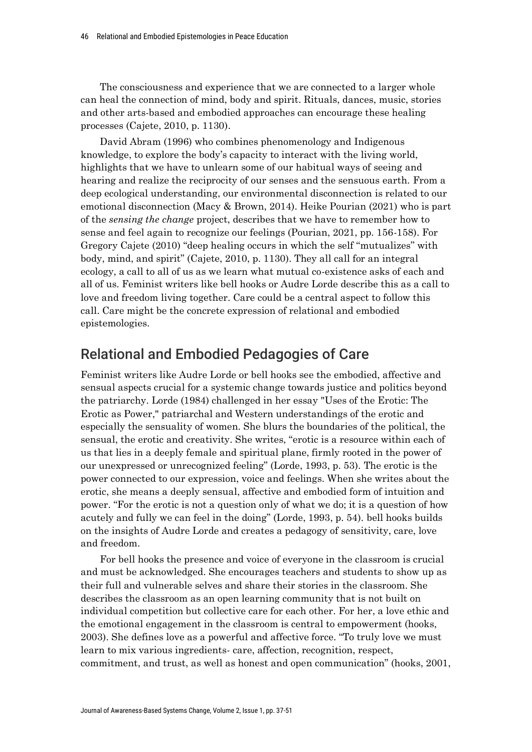The consciousness and experience that we are connected to a larger whole can heal the connection of mind, body and spirit. Rituals, dances, music, stories and other arts-based and embodied approaches can encourage these healing processes (Cajete, 2010, p. 1130).

David Abram (1996) who combines phenomenology and Indigenous knowledge, to explore the body's capacity to interact with the living world, highlights that we have to unlearn some of our habitual ways of seeing and hearing and realize the reciprocity of our senses and the sensuous earth. From a deep ecological understanding, our environmental disconnection is related to our emotional disconnection (Macy & Brown, 2014). Heike Pourian (2021) who is part of the *sensing the change* project, describes that we have to remember how to sense and feel again to recognize our feelings (Pourian, 2021, pp. 156-158). For Gregory Cajete (2010) "deep healing occurs in which the self ''mutualizes'' with body, mind, and spirit" (Cajete, 2010, p. 1130). They all call for an integral ecology, a call to all of us as we learn what mutual co-existence asks of each and all of us. Feminist writers like bell hooks or Audre Lorde describe this as a call to love and freedom living together. Care could be a central aspect to follow this call. Care might be the concrete expression of relational and embodied epistemologies.

## Relational and Embodied Pedagogies of Care

Feminist writers like Audre Lorde or bell hooks see the embodied, affective and sensual aspects crucial for a systemic change towards justice and politics beyond the patriarchy. Lorde (1984) challenged in her essay "Uses of the Erotic: The Erotic as Power," patriarchal and Western understandings of the erotic and especially the sensuality of women. She blurs the boundaries of the political, the sensual, the erotic and creativity. She writes, "erotic is a resource within each of us that lies in a deeply female and spiritual plane, firmly rooted in the power of our unexpressed or unrecognized feeling" (Lorde, 1993, p. 53). The erotic is the power connected to our expression, voice and feelings. When she writes about the erotic, she means a deeply sensual, affective and embodied form of intuition and power. "For the erotic is not a question only of what we do; it is a question of how acutely and fully we can feel in the doing" (Lorde, 1993, p. 54). bell hooks builds on the insights of Audre Lorde and creates a pedagogy of sensitivity, care, love and freedom.

For bell hooks the presence and voice of everyone in the classroom is crucial and must be acknowledged. She encourages teachers and students to show up as their full and vulnerable selves and share their stories in the classroom. She describes the classroom as an open learning community that is not built on individual competition but collective care for each other. For her, a love ethic and the emotional engagement in the classroom is central to empowerment (hooks, 2003). She defines love as a powerful and affective force. "To truly love we must learn to mix various ingredients- care, affection, recognition, respect, commitment, and trust, as well as honest and open communication" (hooks, 2001,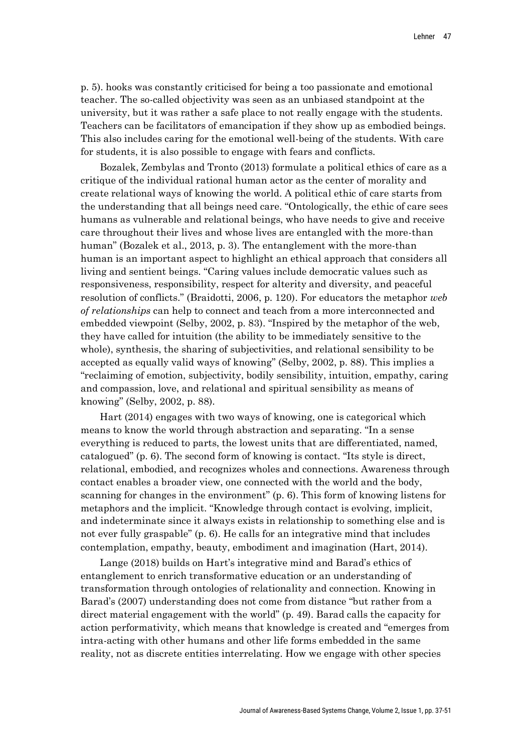p. 5). hooks was constantly criticised for being a too passionate and emotional teacher. The so-called objectivity was seen as an unbiased standpoint at the university, but it was rather a safe place to not really engage with the students. Teachers can be facilitators of emancipation if they show up as embodied beings. This also includes caring for the emotional well-being of the students. With care for students, it is also possible to engage with fears and conflicts.

Bozalek, Zembylas and Tronto (2013) formulate a political ethics of care as a critique of the individual rational human actor as the center of morality and create relational ways of knowing the world. A political ethic of care starts from the understanding that all beings need care. "Ontologically, the ethic of care sees humans as vulnerable and relational beings, who have needs to give and receive care throughout their lives and whose lives are entangled with the more-than human" (Bozalek et al., 2013, p. 3). The entanglement with the more-than human is an important aspect to highlight an ethical approach that considers all living and sentient beings. "Caring values include democratic values such as responsiveness, responsibility, respect for alterity and diversity, and peaceful resolution of conflicts." (Braidotti, 2006, p. 120). For educators the metaphor *web of relationships* can help to connect and teach from a more interconnected and embedded viewpoint (Selby, 2002, p. 83). "Inspired by the metaphor of the web, they have called for intuition (the ability to be immediately sensitive to the whole), synthesis, the sharing of subjectivities, and relational sensibility to be accepted as equally valid ways of knowing" (Selby, 2002, p. 88). This implies a "reclaiming of emotion, subjectivity, bodily sensibility, intuition, empathy, caring and compassion, love, and relational and spiritual sensibility as means of knowing" (Selby, 2002, p. 88).

Hart (2014) engages with two ways of knowing, one is categorical which means to know the world through abstraction and separating. "In a sense everything is reduced to parts, the lowest units that are differentiated, named, catalogued" (p. 6). The second form of knowing is contact. "Its style is direct, relational, embodied, and recognizes wholes and connections. Awareness through contact enables a broader view, one connected with the world and the body, scanning for changes in the environment" (p. 6). This form of knowing listens for metaphors and the implicit. "Knowledge through contact is evolving, implicit, and indeterminate since it always exists in relationship to something else and is not ever fully graspable" (p. 6). He calls for an integrative mind that includes contemplation, empathy, beauty, embodiment and imagination (Hart, 2014).

Lange (2018) builds on Hart's integrative mind and Barad's ethics of entanglement to enrich transformative education or an understanding of transformation through ontologies of relationality and connection. Knowing in Barad's (2007) understanding does not come from distance "but rather from a direct material engagement with the world" (p. 49). Barad calls the capacity for action performativity, which means that knowledge is created and "emerges from intra-acting with other humans and other life forms embedded in the same reality, not as discrete entities interrelating. How we engage with other species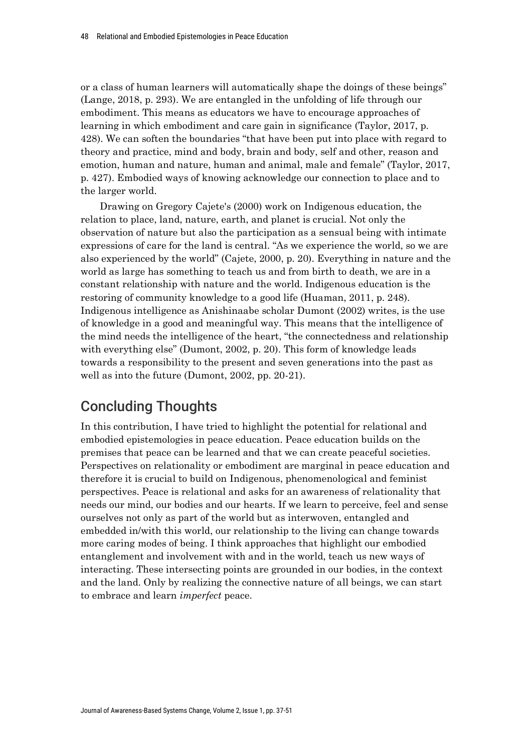or a class of human learners will automatically shape the doings of these beings" (Lange, 2018, p. 293). We are entangled in the unfolding of life through our embodiment. This means as educators we have to encourage approaches of learning in which embodiment and care gain in significance (Taylor, 2017, p. 428). We can soften the boundaries "that have been put into place with regard to theory and practice, mind and body, brain and body, self and other, reason and emotion, human and nature, human and animal, male and female" (Taylor, 2017, p. 427). Embodied ways of knowing acknowledge our connection to place and to the larger world.

Drawing on Gregory Cajete's (2000) work on Indigenous education, the relation to place, land, nature, earth, and planet is crucial. Not only the observation of nature but also the participation as a sensual being with intimate expressions of care for the land is central. "As we experience the world, so we are also experienced by the world" (Cajete, 2000, p. 20). Everything in nature and the world as large has something to teach us and from birth to death, we are in a constant relationship with nature and the world. Indigenous education is the restoring of community knowledge to a good life (Huaman, 2011, p. 248). Indigenous intelligence as Anishinaabe scholar Dumont (2002) writes, is the use of knowledge in a good and meaningful way. This means that the intelligence of the mind needs the intelligence of the heart, "the connectedness and relationship with everything else" (Dumont, 2002, p. 20). This form of knowledge leads towards a responsibility to the present and seven generations into the past as well as into the future (Dumont, 2002, pp. 20-21).

# Concluding Thoughts

In this contribution, I have tried to highlight the potential for relational and embodied epistemologies in peace education. Peace education builds on the premises that peace can be learned and that we can create peaceful societies. Perspectives on relationality or embodiment are marginal in peace education and therefore it is crucial to build on Indigenous, phenomenological and feminist perspectives. Peace is relational and asks for an awareness of relationality that needs our mind, our bodies and our hearts. If we learn to perceive, feel and sense ourselves not only as part of the world but as interwoven, entangled and embedded in/with this world, our relationship to the living can change towards more caring modes of being. I think approaches that highlight our embodied entanglement and involvement with and in the world, teach us new ways of interacting. These intersecting points are grounded in our bodies, in the context and the land. Only by realizing the connective nature of all beings, we can start to embrace and learn *imperfect* peace.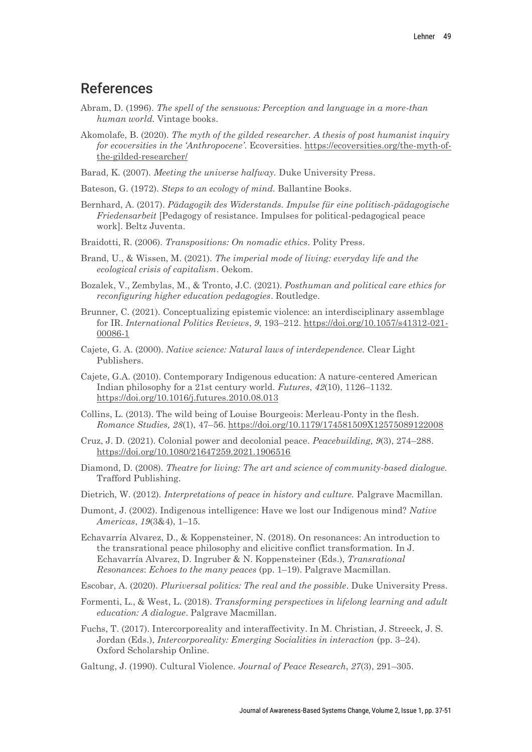### References

- Abram, D. (1996). *The spell of the sensuous: Perception and language in a more-than human world.* Vintage books.
- Akomolafe, B. (2020). *The myth of the gilded researcher. A thesis of post humanist inquiry for ecoversities in the 'Anthropocene'*. Ecoversities. https://ecoversities.org/the-myth-ofthe-gilded-researcher/
- Barad, K. (2007). *Meeting the universe halfway.* Duke University Press.
- Bateson, G. (1972). *Steps to an ecology of mind.* Ballantine Books.
- Bernhard, A. (2017). *Pädagogik des Widerstands. Impulse für eine politisch-pädagogische Friedensarbeit* [Pedagogy of resistance. Impulses for political-pedagogical peace work]. Beltz Juventa.
- Braidotti, R. (2006). *Transpositions: On nomadic ethics.* Polity Press.
- Brand, U., & Wissen, M. (2021). *The imperial mode of living: everyday life and the ecological crisis of capitalism*. Oekom.
- Bozalek, V., Zembylas, M., & Tronto, J.C. (2021). *Posthuman and political care ethics for reconfiguring higher education pedagogies*. Routledge.
- Brunner, C. (2021). Conceptualizing epistemic violence: an interdisciplinary assemblage for IR. *International Politics Reviews*, *9*, 193–212. https://doi.org/10.1057/s41312-021- 00086-1
- Cajete, G. A. (2000). *Native science: Natural laws of interdependence.* Clear Light Publishers.
- Cajete, G.A. (2010). Contemporary Indigenous education: A nature-centered American Indian philosophy for a 21st century world. *Futures*, *42*(10), 1126–1132. https://doi.org/10.1016/j.futures.2010.08.013
- Collins, L. (2013). The wild being of Louise Bourgeois: Merleau-Ponty in the flesh. *Romance Studies, 28*(1), 47–56. https://doi.org/10.1179/174581509X12575089122008
- Cruz, J. D. (2021). Colonial power and decolonial peace. *Peacebuilding, 9*(3), 274–288. https://doi.org/10.1080/21647259.2021.1906516
- Diamond, D. (2008). *Theatre for living: The art and science of community-based dialogue.* Trafford Publishing.
- Dietrich, W. (2012). *Interpretations of peace in history and culture.* Palgrave Macmillan.
- Dumont, J. (2002). Indigenous intelligence: Have we lost our Indigenous mind? *Native Americas*, *19*(3&4), 1–15.
- Echavarría Alvarez, D., & Koppensteiner, N. (2018). On resonances: An introduction to the transrational peace philosophy and elicitive conflict transformation. In J. Echavarría Alvarez, D. Ingruber & N. Koppensteiner (Eds.), *Transrational Resonances*: *Echoes to the many peaces* (pp. 1–19). Palgrave Macmillan.
- Escobar, A. (2020). *Pluriversal politics: The real and the possible*. Duke University Press.
- Formenti, L., & West, L. (2018). *Transforming perspectives in lifelong learning and adult education: A dialogue*. Palgrave Macmillan.
- Fuchs, T. (2017). Intercorporeality and interaffectivity. In M. Christian, J. Streeck, J. S. Jordan (Eds.), *Intercorporeality: Emerging Socialities in interaction* (pp. 3–24). Oxford Scholarship Online.
- Galtung, J. (1990). Cultural Violence. *Journal of Peace Research*, *27*(3), 291–305.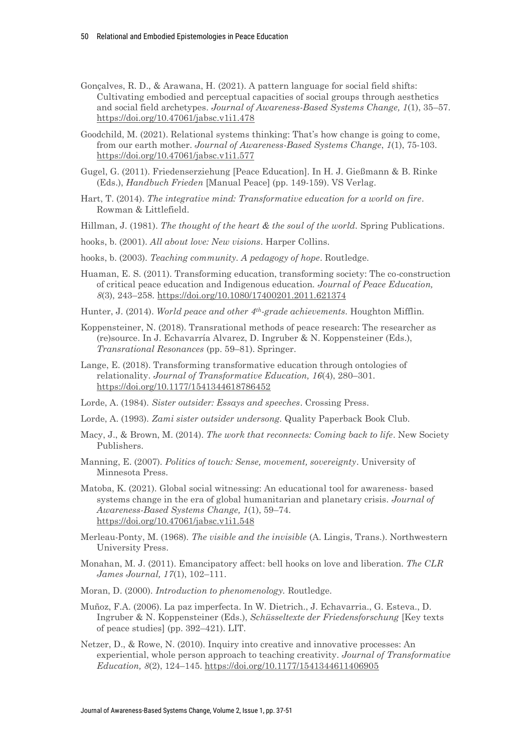- Gonçalves, R. D., & Arawana, H. (2021). A pattern language for social field shifts: Cultivating embodied and perceptual capacities of social groups through aesthetics and social field archetypes. *Journal of Awareness-Based Systems Change, 1*(1), 35–57. https://doi.org/10.47061/jabsc.v1i1.478
- Goodchild, M. (2021). Relational systems thinking: That's how change is going to come, from our earth mother. *Journal of Awareness-Based Systems Change*, *1*(1), 75-103. https://doi.org/10.47061/jabsc.v1i1.577
- Gugel, G. (2011). Friedenserziehung [Peace Education]. In H. J. Gießmann & B. Rinke (Eds.), *Handbuch Frieden* [Manual Peace] (pp. 149-159). VS Verlag.
- Hart, T. (2014). *The integrative mind: Transformative education for a world on fire*. Rowman & Littlefield.
- Hillman, J. (1981). *The thought of the heart & the soul of the world.* Spring Publications.
- hooks, b. (2001). *All about love: New visions*. Harper Collins.
- hooks, b. (2003). *Teaching community. A pedagogy of hope*. Routledge.
- Huaman, E. S. (2011). Transforming education, transforming society: The co-construction of critical peace education and Indigenous education. *Journal of Peace Education, 8*(3), 243–258. https://doi.org/10.1080/17400201.2011.621374
- Hunter, J. (2014). *World peace and other 4th-grade achievements.* Houghton Mifflin.
- Koppensteiner, N. (2018). Transrational methods of peace research: The researcher as (re)source. In J. Echavarría Alvarez, D. Ingruber & N. Koppensteiner (Eds.), *Transrational Resonances* (pp. 59–81). Springer.
- Lange, E. (2018). Transforming transformative education through ontologies of relationality. *Journal of Transformative Education, 16*(4), 280–301. https://doi.org/10.1177/1541344618786452
- Lorde, A. (1984). *Sister outsider: Essays and speeches*. Crossing Press.
- Lorde, A. (1993). *Zami sister outsider undersong.* Quality Paperback Book Club.
- Macy, J., & Brown, M. (2014). *The work that reconnects: Coming back to life*. New Society Publishers.
- Manning, E. (2007). *Politics of touch: Sense, movement, sovereignty*. University of Minnesota Press.
- Matoba, K. (2021). Global social witnessing: An educational tool for awareness- based systems change in the era of global humanitarian and planetary crisis. *Journal of Awareness-Based Systems Change, 1*(1), 59–74. https://doi.org/10.47061/jabsc.v1i1.548
- Merleau-Ponty, M. (1968). *The visible and the invisible* (A. Lingis, Trans.). Northwestern University Press.
- Monahan, M. J. (2011). Emancipatory affect: bell hooks on love and liberation. *The CLR James Journal, 17*(1), 102–111.
- Moran, D. (2000). *Introduction to phenomenology.* Routledge.
- Muñoz, F.A. (2006). La paz imperfecta. In W. Dietrich., J. Echavarria., G. Esteva., D. Ingruber & N. Koppensteiner (Eds.), *Schüsseltexte der Friedensforschung* [Key texts of peace studies] (pp. 392–421). LIT.
- Netzer, D., & Rowe, N. (2010). Inquiry into creative and innovative processes: An experiential, whole person approach to teaching creativity. *Journal of Transformative Education, 8*(2), 124–145. https://doi.org/10.1177/1541344611406905